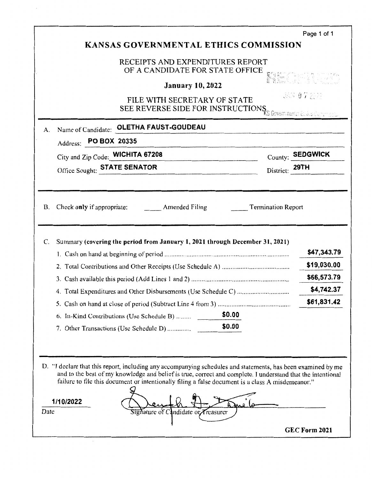|                                                                                                                                                                                                                                                                                                                                  |                | Page 1 of 1                |
|----------------------------------------------------------------------------------------------------------------------------------------------------------------------------------------------------------------------------------------------------------------------------------------------------------------------------------|----------------|----------------------------|
| <b>KANSAS GOVERNMENTAL ETHICS COMMISSION</b>                                                                                                                                                                                                                                                                                     |                |                            |
| RECEIPTS AND EXPENDITURES REPORT<br>OF A CANDIDATE FOR STATE OFFICE                                                                                                                                                                                                                                                              |                |                            |
| <b>January 10, 2022</b>                                                                                                                                                                                                                                                                                                          |                | Film Chapter to the        |
| FILE WITH SECRETARY OF STATE<br>SEE REVERSE SIDE FOR INSTRUCTIONS GOVERNMENT ESSIGN CONTROL                                                                                                                                                                                                                                      |                | JAN 07 2022                |
| OLETHA FAUST-GOUDEAU<br>Name of Candidate:<br>A.                                                                                                                                                                                                                                                                                 |                |                            |
| Address: PO BOX 20335                                                                                                                                                                                                                                                                                                            |                |                            |
| City and Zip Code: WICHITA 67208                                                                                                                                                                                                                                                                                                 |                | County: SEDGWICK           |
| Office Sought: <b>STATE SENATOR</b>                                                                                                                                                                                                                                                                                              | District: 29TH |                            |
| Summary (covering the period from January 1, 2021 through December 31, 2021)<br>C.                                                                                                                                                                                                                                               |                | \$47,343.79<br>\$19,030.00 |
|                                                                                                                                                                                                                                                                                                                                  |                | \$66,573.79                |
|                                                                                                                                                                                                                                                                                                                                  |                | \$4,742.37                 |
|                                                                                                                                                                                                                                                                                                                                  |                | \$61,831.42                |
| \$0.00<br>6. In-Kind Contributions (Use Schedule B)<br>\$0.00<br>7. Other Transactions (Use Schedule D)                                                                                                                                                                                                                          |                |                            |
|                                                                                                                                                                                                                                                                                                                                  |                |                            |
| D. "I declare that this report, including any accompanying schedules and statements, has been examined by me<br>and to the best of my knowledge and belief is true, correct and complete. I understand that the intentional<br>failure to file this document or intentionally filing a false document is a class A misdemeanor." |                |                            |
| 1/10/2022<br>Date<br>Signature of Candidate or Treasurer                                                                                                                                                                                                                                                                         |                |                            |
|                                                                                                                                                                                                                                                                                                                                  |                | GEC Form 2021              |

 $\cdot$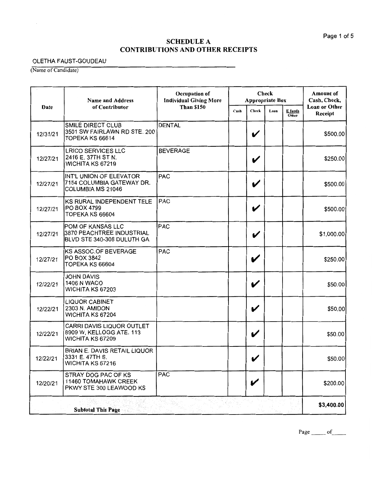-

## OLETHA FAUST-GOUDEAU

(Name of Candidate)

 $\sim$ 

|          | <b>Name and Address</b>                                                             | Occupation of<br><b>Individual Giving More</b> | <b>Check</b><br><b>Appropriate Box</b> |              |      | <b>Amount of</b><br>Cash, Check, |                                 |
|----------|-------------------------------------------------------------------------------------|------------------------------------------------|----------------------------------------|--------------|------|----------------------------------|---------------------------------|
| Date     | of Contributor                                                                      | <b>Than \$150</b>                              | Cash                                   | Check        | Loan | E funds<br>Other                 | <b>Loan or Other</b><br>Receipt |
| 12/31/21 | SMILE DIRECT CLUB<br>3501 SW FAIRLAWN RD STE. 200<br>TOPEKA KS 66614                | <b>DENTAL</b>                                  |                                        | V            |      |                                  | \$500.00                        |
| 12/27/21 | <b>LRICO SERVICES LLC</b><br>2416 E. 37TH ST N.<br>WICHITA KS 67219                 | <b>BEVERAGE</b>                                |                                        | V            |      |                                  | \$250.00                        |
| 12/27/21 | INT'L UNION OF ELEVATOR<br>7154 COLUMBIA GATEWAY DR.<br>COLUMBIA MS 21046           | <b>PAC</b>                                     |                                        | V            |      |                                  | \$500.00                        |
| 12/27/21 | KS RURAL INDEPENDENT TELE<br><b>PO BOX 4799</b><br>TOPEKA KS 66604                  | <b>PAC</b>                                     |                                        | V            |      |                                  | \$500.00                        |
| 12/27/21 | <b>POM OF KANSAS LLC</b><br>3870 PEACHTREE INDUSTRIAL<br>BLVD STE 340-308 DULUTH GA | <b>PAC</b>                                     |                                        | V            |      |                                  | \$1,000.00                      |
| 12/27/21 | <b>KS ASSOC.OF BEVERAGE</b><br>PO BOX 3842<br>TOPEKA KS 66604                       | <b>PAC</b>                                     |                                        | V            |      |                                  | \$250.00                        |
| 12/22/21 | <b>JOHN DAVIS</b><br><b>1406 N WACO</b><br>WICHITA KS 67203                         |                                                |                                        | V            |      |                                  | \$50.00                         |
| 12/22/21 | <b>LIQUOR CABINET</b><br>2303 N. AMIDON<br>WICHITA KS 67204                         |                                                |                                        | V            |      |                                  | \$50.00                         |
| 12/22/21 | CARRI DAVIS LIQUOR OUTLET<br>8909 W, KELLOGG ATE. 113<br>WICHITA KS 67209           |                                                |                                        | V            |      |                                  | \$50.00                         |
| 12/22/21 | BRIAN E. DAVIS RETAIL LIQUOR<br>3331 E. 47TH S.<br>WICHITA KS 67216                 |                                                |                                        | $\checkmark$ |      |                                  | \$50.00                         |
| 12/20/21 | STRAY DOG PAC OF KS<br><b>11460 TOMAHAWK CREEK</b><br>PKWY STE 300 LEAWOOD KS       | <b>PAC</b>                                     |                                        | V            |      |                                  | \$200.00                        |
|          | <b>Subtotal This Page</b>                                                           |                                                |                                        |              |      |                                  | \$3,400.00                      |

Page  $\rule{1em}{0.15mm}$  of  $\rule{1.5mm}{0.15mm}$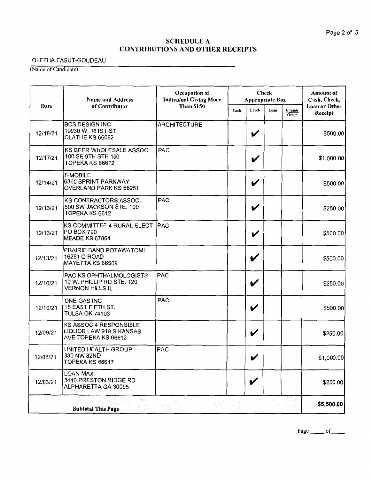$\overline{\phantom{0}}$ 

### OLETHA FASUT-GOUDEAU

(Name of Candidate)

|          | <b>Name and Address</b>                                                        | Check<br>Occupation of<br><b>Individual Giving More</b> | <b>Appropriate Box</b> |       |      | <b>Amount of</b><br>Cash, Check, |                          |
|----------|--------------------------------------------------------------------------------|---------------------------------------------------------|------------------------|-------|------|----------------------------------|--------------------------|
| Date     | of Contributor                                                                 | <b>Than \$150</b>                                       |                        | Check | Loan | E funds<br>Other                 | Loan or Other<br>Receipt |
| 12/18/21 | <b>BCS DESIGN INC</b><br>19930 W. 161ST ST.<br>OLATHE KS 66062                 | <b>ARCHITECTURE</b>                                     |                        | V     |      |                                  | \$500.00                 |
| 12/17/21 | KS BEER WHOLESALE ASSOC.<br>100 SE 9TH STE 100<br>TOPEKA KS 66612              | <b>PAC</b>                                              |                        | V     |      |                                  | \$1,000.00               |
| 12/14/21 | <b>T-MOBILE</b><br>6360 SPRINT PARKWAY<br>OVERLAND PARK KS 66251               |                                                         |                        | V     |      |                                  | \$500.00                 |
| 12/13/21 | KS CONTRACTORS ASSOC.<br>800 SW JACKSON STE. 100<br>TOPEKA KS 6612             | PAC                                                     |                        | V     |      |                                  | \$250.00                 |
| 12/13/21 | KS COMMITTEE 4 RURAL ELECT  PAC<br>PO BOX 790<br>MEADE KS 67864                |                                                         |                        | V     |      |                                  | \$500.00                 |
| 12/13/21 | PRAIRIE BAND POTAWATOMI<br>16281 Q ROAD<br>MAYETTA KS 66509                    |                                                         |                        | V     |      |                                  | \$500.00                 |
| 12/10/21 | PAC KS OPHTHALMOLOGISTS<br>10 W. PHILLIP RD STE. 120<br><b>VERNON HILLS IL</b> | PAC                                                     |                        | V     |      |                                  | \$250.00                 |
| 12/10/21 | ONE GAS INC<br>15 EAST FIFTH ST.<br><b>TULSA OK 74103</b>                      | <b>PAC</b>                                              |                        | V     |      |                                  | \$500.00                 |
| 12/09/21 | KS ASSOC.4 RESPONSIBLE<br>LIQUOR LAW 919 S KANSAS<br>AVE TOPEKA KS 66612       |                                                         |                        | V     |      |                                  | \$250.00                 |
| 12/08/21 | UNITED HEALTH GROUP<br>1330 NW 82ND<br>TOPEKA KS 66617                         | <b>PAC</b>                                              |                        | ◢     |      |                                  | \$1,000.00               |
| 12/03/21 | <b>LOAN MAX</b><br>3440 PRESTON RIDGE RD<br>ALPHARETTA GA 30005                |                                                         |                        | V     |      |                                  | \$250.00                 |
|          | <b>Subtotal This Page</b>                                                      |                                                         |                        |       |      |                                  | \$5,500.00               |

Page \_\_\_\_\_ of \_\_\_\_\_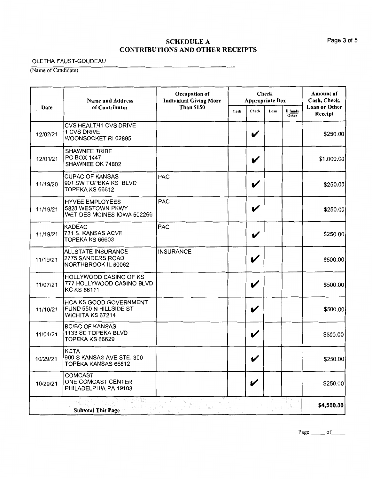<u>...</u>

## OLETHA FAUST-GOUDEAU

(Name of Candidate)

|          | <b>Name and Address</b>                                                   | Occupation of<br><b>Individual Giving More</b> |      |                            | Check<br><b>Appropriate Box</b> |                  |                                 |
|----------|---------------------------------------------------------------------------|------------------------------------------------|------|----------------------------|---------------------------------|------------------|---------------------------------|
| Date     | of Contributor                                                            | <b>Than \$150</b>                              | Cash | Check                      | Loan                            | E funds<br>Other | <b>Loan or Other</b><br>Receipt |
| 12/02/21 | CVS HEALTH1 CVS DRIVE<br>1 CVS DRIVE<br>WOONSOCKET RI 02895               |                                                |      | V                          |                                 |                  | \$250.00                        |
| 12/01/21 | <b>SHAWNEE TRIBE</b><br>PO BOX 1447<br>SHAWNEE OK 74802                   |                                                |      | V                          |                                 |                  | \$1,000.00]                     |
| 11/19/20 | <b>CUPAC OF KANSAS</b><br>901 SW TOPEKA KS BLVD<br>TOPEKA KS 66612        | PAC                                            |      | V                          |                                 |                  | \$250.00                        |
| 11/19/21 | <b>HYVEE EMPLOYEES</b><br>5820 WESTOWN PKWY<br>WET DES MOINES IOWA 502266 | <b>PAC</b>                                     |      | V                          |                                 |                  | \$250.00                        |
| 11/19/21 | KADEAC<br>731 S. KANSAS ACVE<br>TOPEKA KS 66603                           | PAC                                            |      | V                          |                                 |                  | \$250.00                        |
| 11/19/21 | <b>ALLSTATE INSURANCE</b><br>2775 SANDERS ROAD<br>NORTHBROOK IL 60062     | <b>INSURANCE</b>                               |      | V                          |                                 |                  | \$500.00                        |
| 11/07/21 | HOLLYWOOD CASINO OF KS<br>777 HOLLYWOOD CASINO BLVD<br><b>KC KS 66111</b> |                                                |      | V                          |                                 |                  | \$500.00                        |
| 11/10/21 | HCA KS GOOD GOVERNMENT<br>FUND 550 N HILLSIDE ST<br>WICHITA KS 67214      |                                                |      | V                          |                                 |                  | \$500.00                        |
| 11/04/21 | <b>BC/BC OF KANSAS</b><br>1133 SE TOPEKA BLVD<br>TOPEKA KS 66629          |                                                |      | $\boldsymbol{\mathcal{U}}$ |                                 |                  | \$500.00                        |
| 10/29/21 | <b>KCTA</b><br>900 S KANSAS AVE STE. 300<br>TOPEKA KANSAS 66612           |                                                |      | v                          |                                 |                  | \$250.00                        |
| 10/29/21 | <b>COMCAST</b><br>ONE COMCAST CENTER<br>PHILADELPHIA PA 19103             |                                                |      | V                          |                                 |                  | \$250.00                        |
|          | <b>Subtotal This Page</b>                                                 |                                                |      |                            |                                 |                  | \$4,500.00                      |

Page  $\rule{1em}{0.15mm}$  of  $\rule{1em}{0.15mm}$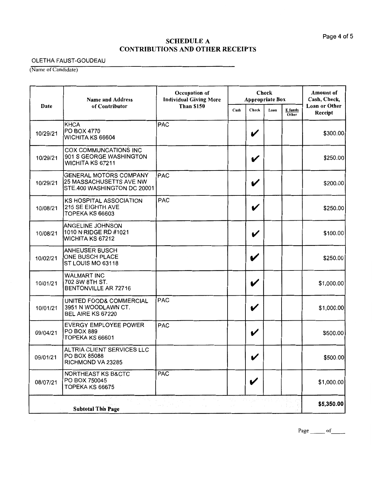-

### OLETHA FAUST-GOUDEAU

(Name of Candidate)

|          | <b>Check</b><br>Occupation of<br><b>Individual Giving More</b><br><b>Name and Address</b><br><b>Appropriate Box</b> |                                                                                                                |      |                       | <b>Amount</b> of<br>Cash, Check, |                  |                                 |
|----------|---------------------------------------------------------------------------------------------------------------------|----------------------------------------------------------------------------------------------------------------|------|-----------------------|----------------------------------|------------------|---------------------------------|
| Date     | of Contributor                                                                                                      | <b>Than \$150</b>                                                                                              | Cash | Check                 | Loan                             | E funds<br>Other | <b>Loan or Other</b><br>Receipt |
| 10/29/21 | KHCA<br>PO BOX 4770<br>WICHITA KS 66604                                                                             | <b>PAC</b>                                                                                                     |      | V                     |                                  |                  | \$300.00                        |
| 10/29/21 | <b>COX COMMUNCATIONS INC</b><br>901 S GEORGE WASHINGTON<br>WICHITA KS 67211                                         |                                                                                                                |      | V                     |                                  |                  | \$250.00                        |
| 10/29/21 | <b>GENERAL MOTORS COMPANY</b><br>25 MASSACHUSETTS AVE NW<br>STE.400 WASHINGTON DC 20001                             | <b>PAC</b>                                                                                                     |      | V                     |                                  |                  | \$200.00                        |
| 10/08/21 | <b>KS HOSPITAL ASSOCIATION</b><br>215 SE EIGHTH AVE<br>TOPEKA KS 66603                                              | <b>PAC</b>                                                                                                     |      | V                     |                                  |                  | \$250.00                        |
| 10/08/21 | <b>ANGELINE JOHNSON</b><br>1010 N RIDGE RD #1021<br>WICHITA KS 67212                                                |                                                                                                                |      | V                     |                                  |                  | \$100.00                        |
| 10/02/21 | <b>ANHEUSER BUSCH</b><br>ONE BUSCH PLACE<br>ST LOUIS MO 63118                                                       |                                                                                                                |      | V                     |                                  |                  | \$250.00                        |
| 10/01/21 | <b>WALMART INC</b><br>702 SW 8TH ST.<br>BENTONVILLE AR 72716                                                        |                                                                                                                |      | V                     |                                  |                  | \$1,000.00                      |
| 10/01/21 | UNITED FOOD& COMMERCIAL<br>3951 N WOODLAWN CT.<br>BEL AIRE KS 67220                                                 | <b>PAC</b>                                                                                                     |      | V                     |                                  |                  | \$1,000.00                      |
| 09/04/21 | EVERGY EMPLOYEE POWER<br>PO BOX 889<br>TOPEKA KS 66601                                                              | <b>PAC</b>                                                                                                     |      | V                     |                                  |                  | \$500.00                        |
| 09/01/21 | ALTRIA CLIENT SERVICES LLC<br>PO BOX 85088<br>RICHMOND VA 23285                                                     |                                                                                                                |      | $\checkmark$          |                                  |                  | \$500.00                        |
| 08/07/21 | NORTHEAST KS B&CTC<br>PO BOX 750045<br>TOPEKA KS 66675                                                              | <b>PAC</b>                                                                                                     |      | V                     |                                  |                  | \$1,000.00                      |
|          | <b>大学 不可 医</b><br>$\gamma\chi_0\rightarrow\gamma$<br><b>Subtotal This Page</b>                                      | and the state of the collection of the collection of the collection of the collection of the collection of the |      | 10. 1799. 28만 800 (A) |                                  |                  | \$5,350.00                      |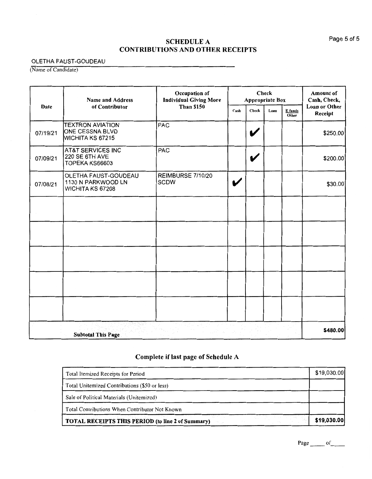## OLETHA FAUST-GOUDEAU

(Name of Candidate)

|          | <b>Name and Address</b>                                               | Occupation of<br><b>Individual Giving More</b> |      | <b>Check</b><br><b>Appropriate Box</b> |      |                  | <b>Amount</b> of<br>Cash, Check, |
|----------|-----------------------------------------------------------------------|------------------------------------------------|------|----------------------------------------|------|------------------|----------------------------------|
| Date     | of Contributor                                                        | <b>Than \$150</b>                              | Cash | Check                                  | Loan | E funds<br>Other | Loan or Other<br>Receipt         |
| 07/19/21 | <b>TEXTRON AVIATION</b><br>ONE CESSNA BLVD<br><b>WICHITA KS 67215</b> | PAC                                            |      | V                                      |      |                  | \$250.00                         |
| 07/09/21 | <b>AT&amp;T SERVICES INC</b><br>220 SE 6TH AVE<br>TOPEKA KS66603      | PAC                                            |      | V                                      |      |                  | \$200.00                         |
| 07/08/21 | OLETHA FAUST-GOUDEAU<br>1130 N PARKWOOD LN<br>WICHITA KS 67208        | REIMBURSE 7/10/20<br><b>SCDW</b>               | V    |                                        |      |                  | \$30.00]                         |
|          |                                                                       |                                                |      |                                        |      |                  |                                  |
|          |                                                                       |                                                |      |                                        |      |                  |                                  |
|          |                                                                       |                                                |      |                                        |      |                  |                                  |
|          |                                                                       |                                                |      |                                        |      |                  |                                  |
|          |                                                                       |                                                |      |                                        |      |                  |                                  |
|          | <b>Subtotal This Page</b>                                             |                                                |      |                                        |      |                  | \$480.00                         |

## **Complete if last page of Schedule A**

| Total Itemized Receipts for Period                                          | \$19,030.00 |
|-----------------------------------------------------------------------------|-------------|
| Total Unitemized Contributions (\$50 or less)                               |             |
| Sale of Political Materials (Unitemized)                                    |             |
| Total Contributions When Contributor Not Known                              |             |
| The Application<br><b>TOTAL RECEIPTS THIS PERIOD (to line 2 of Summary)</b> | \$19,030.00 |

Page \_\_\_\_\_\_ of \_\_\_\_\_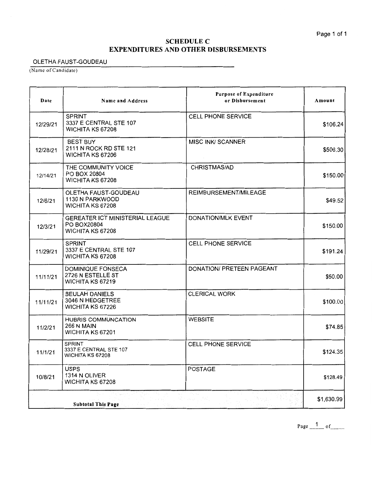## **SCHEDULE C EXPENDITURES AND OTHER DISBURSEMENTS**

### OLETHA FAUST-GOUDEAU

(Name of Candidate)

| Date     | Name and Address                                                          | <b>Purpose of Expenditure</b><br>or Disbursement                                                  | Amount     |
|----------|---------------------------------------------------------------------------|---------------------------------------------------------------------------------------------------|------------|
| 12/29/21 | <b>SPRINT</b><br>3337 E CENTRAL STE 107<br>WICHITA KS 67208               | <b>CELL PHONE SERVICE</b>                                                                         | \$106.24   |
| 12/28/21 | <b>BEST BUY</b><br>2111 N ROCK RD STE 121<br>WICHITA KS 67206             | <b>MISC INK/ SCANNER</b>                                                                          | \$506.30   |
| 12/14/21 | THE COMMUNITY VOICE<br>PO BOX 20804<br>WICHITA KS 67208                   | CHRISTMAS/AD                                                                                      | \$150.00   |
| 12/6/21  | OLETHA FAUST-GOUDEAU<br>1130 N PARKWOOD<br>WICHITA KS 67208               | REIMBURSEMENT/MILEAGE                                                                             | \$49.52    |
| 12/3/21  | <b>GEREATER ICT MINISTERIAL LEAGUE</b><br>PO BOX20804<br>WICHITA KS 67208 | DONATION/MLK EVENT                                                                                | \$150.00   |
| 11/29/21 | <b>SPRINT</b><br>3337 E CENTRAL STE 107<br><b>WICHITA KS 67208</b>        | CELL PHONE SERVICE                                                                                | \$191.24   |
| 11/11/21 | DOMINIQUE FONSECA<br>2726 N ESTELLE ST<br>WICHITA KS 67219                | DONATION/ PRETEEN PAGEANT                                                                         | \$50.00    |
| 11/11/21 | <b>BEULAH DANIELS</b><br>3046 N HEDGETREE<br>WICHITA KS 67226             | <b>CLERICAL WORK</b>                                                                              | \$100.00   |
| 11/2/21  | <b>HUBRIS COMMUNCATION</b><br><b>266 N MAIN</b><br>WICHITA KS 67201       | <b>WEBSITE</b>                                                                                    | \$74.85    |
| 11/1/21  | <b>SPRINT</b><br>3337 E CENTRAL STE 107<br>WICHITA KS 67208               | <b>CELL PHONE SERVICE</b>                                                                         | \$124.35   |
| 10/8/21  | <b>USPS</b><br>1314 N OLIVER<br>WICHITA KS 67208                          | <b>POSTAGE</b>                                                                                    | \$128.49   |
|          | <b>Subtotal This Page</b>                                                 | $\mathcal{C}_{\mathcal{C}_{\mathcal{C}}}^{(1)}$ is a company of $\mathcal{C}_{\mathcal{C}}^{(2)}$ | \$1,630.99 |

Page  $\frac{1}{\sqrt{1-\rho^2}}$  of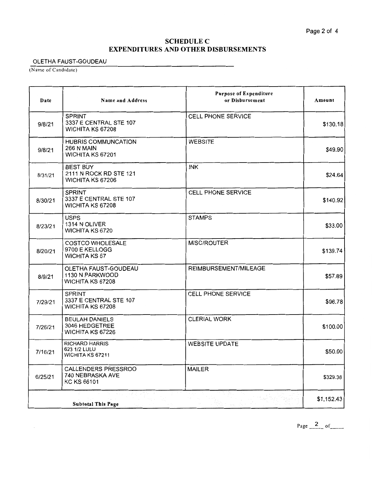## SCHEDULE C **EXPENDITURES AND OTHER DISBURSEMENTS**

OLETHA FAUST-GOUDEAU

(Name of Candidate)

| Date    | <b>Name and Address</b>                                       | <b>Purpose of Expenditure</b><br>or Disbursement | Amount     |
|---------|---------------------------------------------------------------|--------------------------------------------------|------------|
| 9/8/21  | <b>SPRINT</b><br>3337 E CENTRAL STE 107<br>WICHITA KS 67208   | <b>CELL PHONE SERVICE</b>                        | \$130.18   |
| 9/8/21  | HUBRIS COMMUNCATION<br><b>266 N MAIN</b><br>WICHITA KS 67201  | <b>WEBSITE</b>                                   | \$49.90    |
| 8/31/21 | <b>BEST BUY</b><br>2111 N ROCK RD STE 121<br>WICHITA KS 67206 | <b>INK</b>                                       | \$24.64    |
| 8/30/21 | <b>SPRINT</b><br>3337 E CENTRAL STE 107<br>WICHITA KS 67208   | CELL PHONE SERVICE                               | \$140.92   |
| 8/23/21 | <b>USPS</b><br>1314 N OLIVER<br><b>WICHITA KS 6720</b>        | <b>STAMPS</b>                                    | \$33.00    |
| 8/20/21 | <b>COSTCO WHOLESALE</b><br>9700 E KELLOGG<br>WICHITA KS 67    | MISC/ROUTER                                      | \$139.74   |
| 8/9/21  | OLETHA FAUST-GOUDEAU<br>1130 N PARKWOOD<br>WICHITA KS 67208   | REIMBURSEMENT/MILEAGE                            | \$57.89    |
| 7/29/21 | <b>SPRINT</b><br>3337 E CENTRAL STE 107<br>WICHITA KS 67208   | CELL PHONE SERVICE                               | \$96.78    |
| 7/26/21 | <b>BEULAH DANIELS</b><br>3046 HEDGETREE<br>WICHITA KS 67226   | <b>CLERIAL WORK</b>                              | \$100.00   |
| 7/16/21 | <b>RICHARD HARRIS</b><br>623 1/2 LULU<br>WICHITA KS 67211     | <b>WEBSITE UPDATE</b>                            | \$50.00    |
| 6/25/21 | CALLENDERS PRESSROO<br>740 NEBRASKA AVE<br>KC KS 66101        | <b>MAILER</b>                                    | \$329.38   |
|         | <b>Subtotal This Page</b>                                     |                                                  | \$1,152.43 |

Page  $\frac{2}{\sqrt{2}}$  of \_\_\_\_\_\_\_\_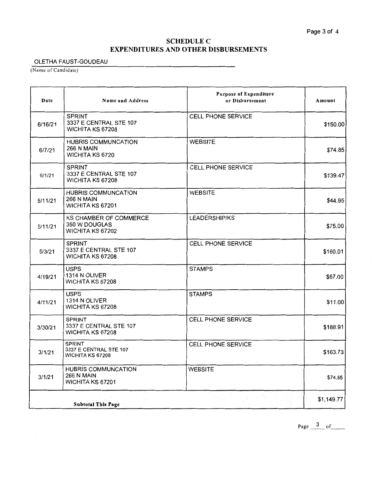## **SCHEDULE C EXPENDITURES AND OTHER DISBURSEMENTS**

## OLETHA FAUST-GOUDEAU

(Name of Candidate)

| Date    | Name and Address                                                          | <b>Purpose of Expenditure</b><br>or Disbursement | Amount     |
|---------|---------------------------------------------------------------------------|--------------------------------------------------|------------|
| 6/16/21 | <b>SPRINT</b><br>3337 E CENTRAL STE 107<br>WICHITA KS 67208               | CELL PHONE SERVICE                               | \$150.00   |
| 6/7/21  | HUBRIS COMMUNCATION<br><b>266 N MAIN</b><br>WICHITA KS 6720               | <b>WEBSITE</b>                                   | \$74.85    |
| 6/1/21  | <b>SPRINT</b><br>3337 E CENTRAL STE 107<br>WICHITA KS 67208               | <b>CELL PHONE SERVICE</b>                        | \$139.47   |
| 5/11/21 | <b>HUBRIS COMMUNCATION</b><br><b>266 N MAIN</b><br>WICHITA KS 67201       | <b>WEBSITE</b>                                   | \$44.95    |
| 5/11/21 | <b>KS CHAMBER OF COMMERCE</b><br>350 W DOUGLAS<br><b>WICHITA KS 67202</b> | <b>LEADERSHIP/KS</b>                             | \$75.00    |
| 5/3/21  | <b>SPRINT</b><br>3337 E CENTRAL STE 107<br>WICHITA KS 67208               | CELL PHONE SERVICE                               | \$160.01   |
| 4/19/21 | <b>USPS</b><br>1314 N OLIVER<br>WICHITA KS 67208                          | <b>STAMPS</b>                                    | \$67.00    |
| 4/11/21 | <b>USPS</b><br>1314 N OLIVER<br>WICHITA KS 67208                          | <b>STAMPS</b>                                    | \$11.00    |
| 3/30/21 | SPRINT<br>3337 E CENTRAL STE 107<br>WICHITA KS 67208                      | CELL PHONE SERVICE                               | \$188.91   |
| 3/1/21  | SPRINT<br>3337 E CENTRAL STE 107<br>WICHITA KS 67208                      | <b>CELL PHONE SERVICE</b>                        | \$163.73   |
| 3/1/21  | <b>HUBRIS COMMUNCATION</b><br><b>266 N MAIN</b><br>WICHITA KS 67201       | <b>WEBSITE</b>                                   | \$74.85    |
|         | <b>Subtotal This Page</b>                                                 |                                                  | \$1,149.77 |

Page  $\frac{3}{2}$  of \_\_\_\_\_\_